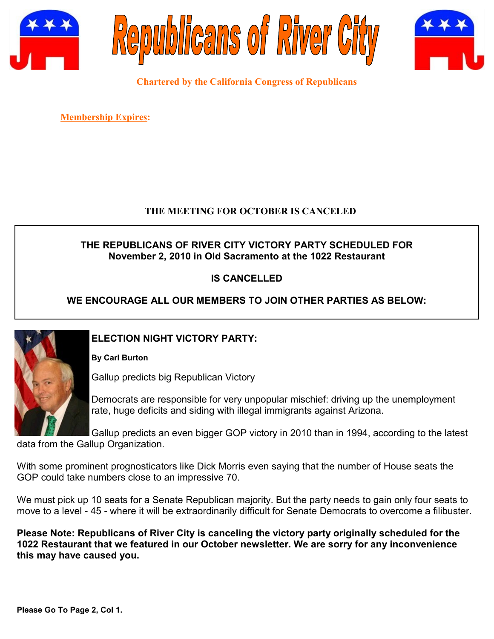





**Chartered by the California Congress of Republicans**

**Membership Expires:** 

#### **THE MEETING FOR OCTOBER IS CANCELED**

### **THE REPUBLICANS OF RIVER CITY VICTORY PARTY SCHEDULED FOR November 2, 2010 in Old Sacramento at the 1022 Restaurant**

# **IS CANCELLED**

# **WE ENCOURAGE ALL OUR MEMBERS TO JOIN OTHER PARTIES AS BELOW:**



## **ELECTION NIGHT VICTORY PARTY:**

**By Carl Burton**

Gallup predicts big Republican Victory

Democrats are responsible for very unpopular mischief: driving up the unemployment rate, huge deficits and siding with illegal immigrants against Arizona.

Gallup predicts an even bigger GOP victory in 2010 than in 1994, according to the latest data from the Gallup Organization.

With some prominent prognosticators like Dick Morris even saying that the number of House seats the GOP could take numbers close to an impressive 70.

We must pick up 10 seats for a Senate Republican majority. But the party needs to gain only four seats to move to a level - 45 - where it will be extraordinarily difficult for Senate Democrats to overcome a filibuster.

**Please Note: Republicans of River City is canceling the victory party originally scheduled for the 1022 Restaurant that we featured in our October newsletter. We are sorry for any inconvenience this may have caused you.**